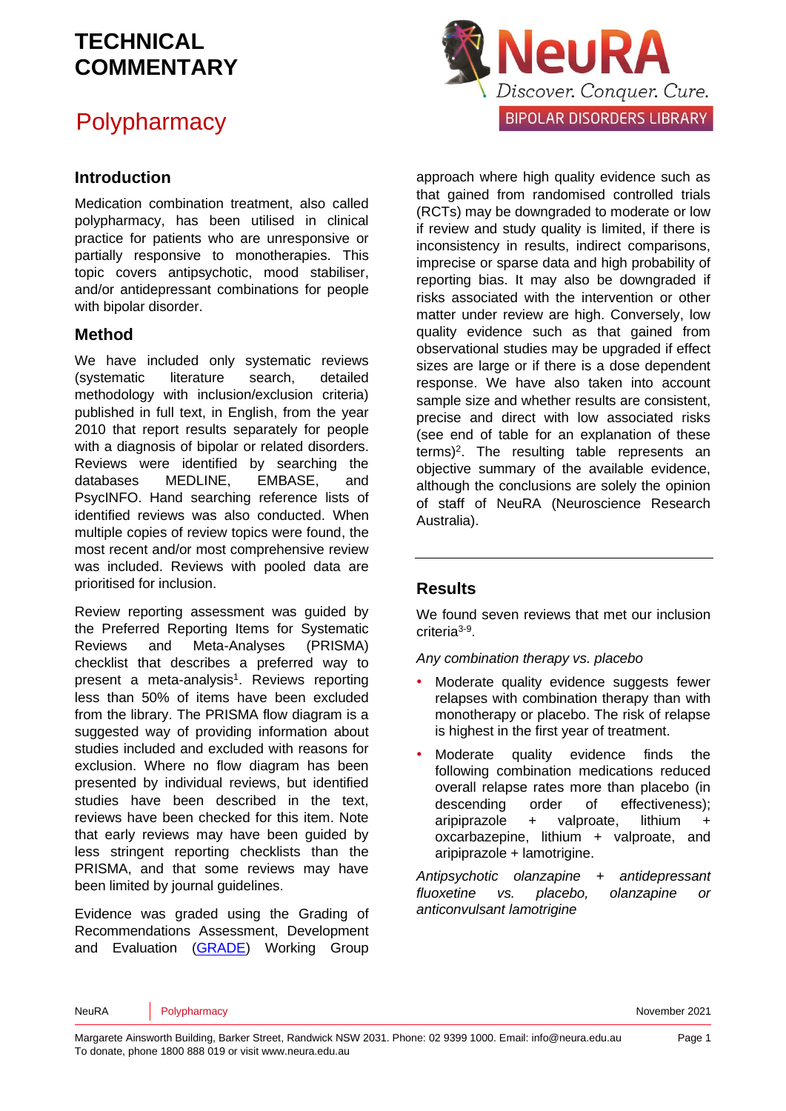## **Polypharmacy**

### **Introduction**

Medication combination treatment, also called polypharmacy, has been utilised in clinical practice for patients who are unresponsive or partially responsive to monotherapies. This topic covers antipsychotic, mood stabiliser, and/or antidepressant combinations for people with bipolar disorder.

#### **Method**

We have included only systematic reviews (systematic literature search, detailed methodology with inclusion/exclusion criteria) published in full text, in English, from the year 2010 that report results separately for people with a diagnosis of bipolar or related disorders. Reviews were identified by searching the databases MEDLINE, EMBASE, and PsycINFO. Hand searching reference lists of identified reviews was also conducted. When multiple copies of review topics were found, the most recent and/or most comprehensive review was included. Reviews with pooled data are prioritised for inclusion.

Review reporting assessment was guided by the Preferred Reporting Items for Systematic Reviews and Meta-Analyses (PRISMA) checklist that describes a preferred way to present a meta-analysis<sup>[1](#page-16-0)</sup>. Reviews reporting less than 50% of items have been excluded from the library. The PRISMA flow diagram is a suggested way of providing information about studies included and excluded with reasons for exclusion. Where no flow diagram has been presented by individual reviews, but identified studies have been described in the text, reviews have been checked for this item. Note that early reviews may have been guided by less stringent reporting checklists than the PRISMA, and that some reviews may have been limited by journal guidelines.

Evidence was graded using the Grading of Recommendations Assessment, Development and Evaluation [\(GRADE\)](http://www.gradeworkinggroup.org/) Working Group



approach where high quality evidence such as that gained from randomised controlled trials (RCTs) may be downgraded to moderate or low if review and study quality is limited, if there is inconsistency in results, indirect comparisons, imprecise or sparse data and high probability of reporting bias. It may also be downgraded if risks associated with the intervention or other matter under review are high. Conversely, low quality evidence such as that gained from observational studies may be upgraded if effect sizes are large or if there is a dose dependent response. We have also taken into account sample size and whether results are consistent, precise and direct with low associated risks (see end of table for an explanation of these terms)[2](#page-16-1) . The resulting table represents an objective summary of the available evidence, although the conclusions are solely the opinion of staff of NeuRA (Neuroscience Research Australia).

### **Results**

We found seven reviews that met our inclusion criteria<sup>[3-9](#page-16-2)</sup>.

*Any combination therapy vs. placebo*

- Moderate quality evidence suggests fewer relapses with combination therapy than with monotherapy or placebo. The risk of relapse is highest in the first year of treatment.
- Moderate quality evidence finds the following combination medications reduced overall relapse rates more than placebo (in descending order of effectiveness); aripiprazole + valproate, lithium + oxcarbazepine, lithium + valproate, and aripiprazole + lamotrigine.

*Antipsychotic olanzapine + antidepressant fluoxetine vs. placebo, olanzapine or anticonvulsant lamotrigine*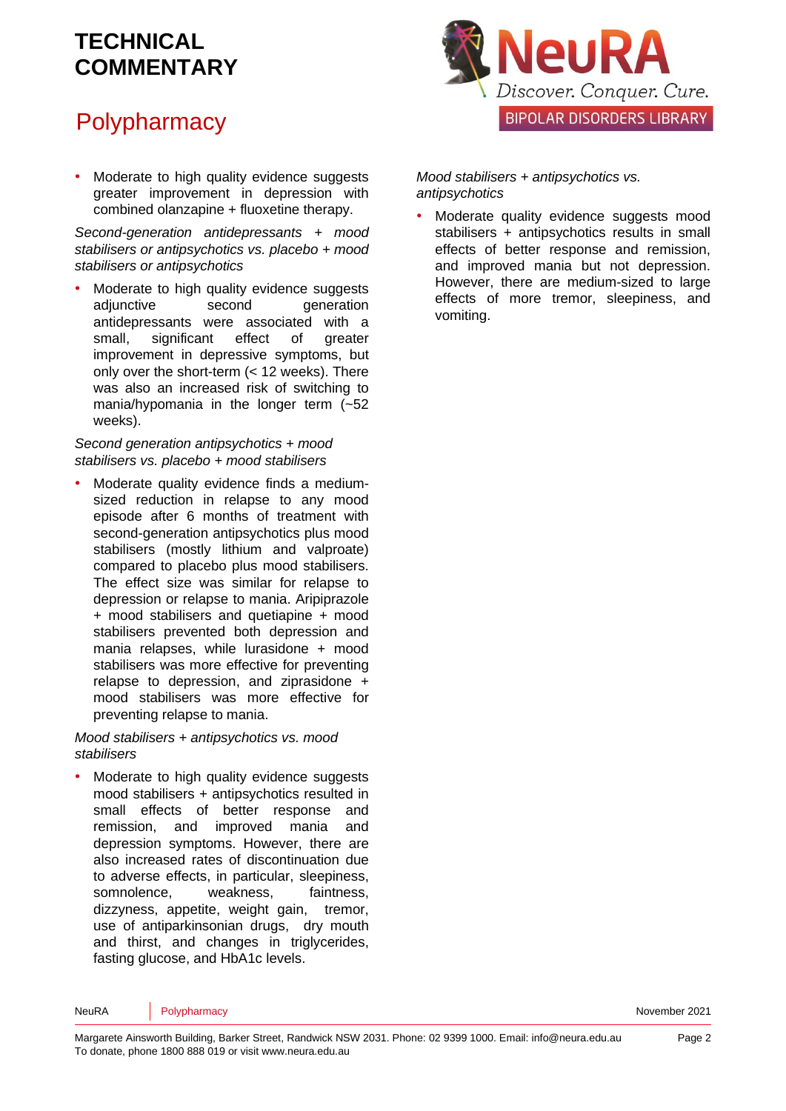# **Polypharmacy**

Moderate to high quality evidence suggests greater improvement in depression with combined olanzapine + fluoxetine therapy.

*Second-generation antidepressants + mood stabilisers or antipsychotics vs. placebo + mood stabilisers or antipsychotics*

Moderate to high quality evidence suggests adjunctive second generation antidepressants were associated with a small, significant effect of greater improvement in depressive symptoms, but only over the short-term (< 12 weeks). There was also an increased risk of switching to mania/hypomania in the longer term (~52 weeks).

*Second generation antipsychotics + mood stabilisers vs. placebo + mood stabilisers*

• Moderate quality evidence finds a mediumsized reduction in relapse to any mood episode after 6 months of treatment with second-generation antipsychotics plus mood stabilisers (mostly lithium and valproate) compared to placebo plus mood stabilisers. The effect size was similar for relapse to depression or relapse to mania. Aripiprazole + mood stabilisers and quetiapine + mood stabilisers prevented both depression and mania relapses, while lurasidone + mood stabilisers was more effective for preventing relapse to depression, and ziprasidone + mood stabilisers was more effective for preventing relapse to mania.

#### *Mood stabilisers + antipsychotics vs. mood stabilisers*

Moderate to high quality evidence suggests mood stabilisers + antipsychotics resulted in small effects of better response and remission, and improved mania and depression symptoms. However, there are also increased rates of discontinuation due to adverse effects, in particular, sleepiness, somnolence, weakness, faintness, dizzyness, appetite, weight gain, tremor, use of antiparkinsonian drugs, dry mouth and thirst, and changes in triglycerides, fasting glucose, and HbA1c levels.



*Mood stabilisers + antipsychotics vs. antipsychotics*

Moderate quality evidence suggests mood stabilisers + antipsychotics results in small effects of better response and remission, and improved mania but not depression. However, there are medium-sized to large effects of more tremor, sleepiness, and vomiting.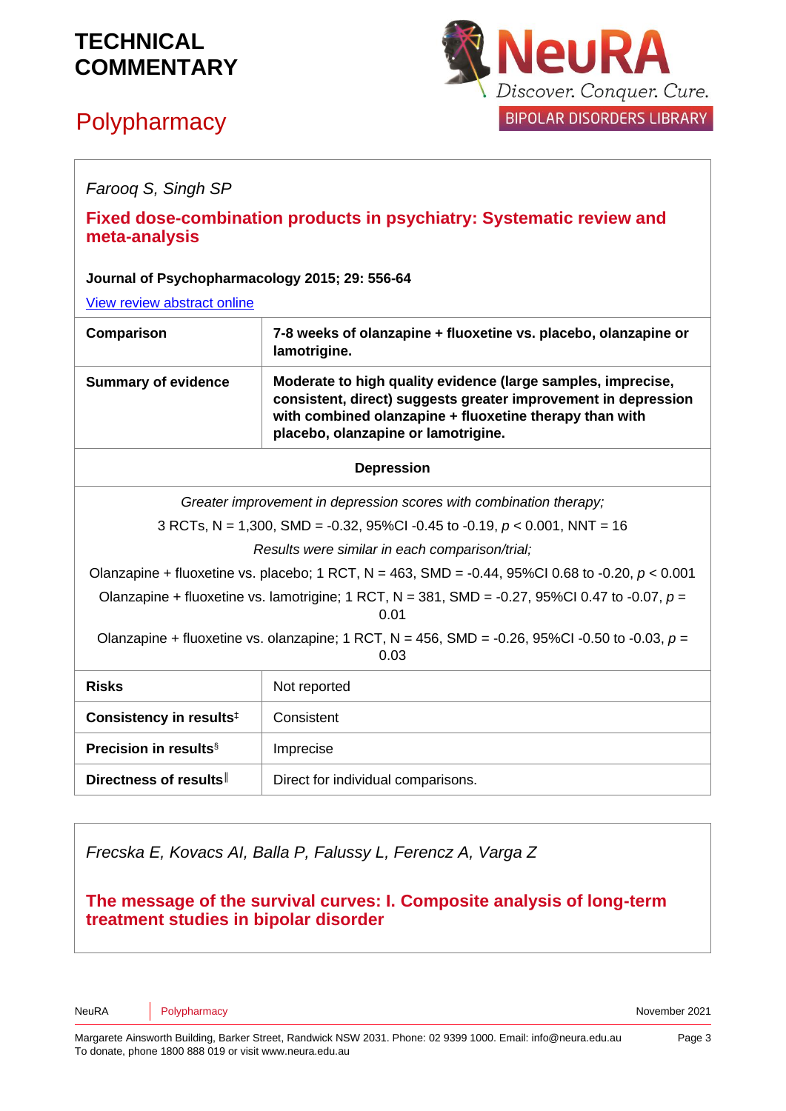# **Polypharmacy**



| Faroog S, Singh SP                                                                                       |                                                                                                                                                                                                                                  |
|----------------------------------------------------------------------------------------------------------|----------------------------------------------------------------------------------------------------------------------------------------------------------------------------------------------------------------------------------|
| Fixed dose-combination products in psychiatry: Systematic review and<br>meta-analysis                    |                                                                                                                                                                                                                                  |
| Journal of Psychopharmacology 2015; 29: 556-64                                                           |                                                                                                                                                                                                                                  |
| View review abstract online                                                                              |                                                                                                                                                                                                                                  |
| Comparison                                                                                               | 7-8 weeks of olanzapine + fluoxetine vs. placebo, olanzapine or<br>lamotrigine.                                                                                                                                                  |
| <b>Summary of evidence</b>                                                                               | Moderate to high quality evidence (large samples, imprecise,<br>consistent, direct) suggests greater improvement in depression<br>with combined olanzapine + fluoxetine therapy than with<br>placebo, olanzapine or lamotrigine. |
| <b>Depression</b>                                                                                        |                                                                                                                                                                                                                                  |
| Greater improvement in depression scores with combination therapy;                                       |                                                                                                                                                                                                                                  |
| 3 RCTs, N = 1,300, SMD = -0.32, 95%CI -0.45 to -0.19, $p < 0.001$ , NNT = 16                             |                                                                                                                                                                                                                                  |
| Results were similar in each comparison/trial;                                                           |                                                                                                                                                                                                                                  |
| Olanzapine + fluoxetine vs. placebo; 1 RCT, N = 463, SMD = -0.44, 95%Cl 0.68 to -0.20, $p < 0.001$       |                                                                                                                                                                                                                                  |
| Olanzapine + fluoxetine vs. lamotrigine; 1 RCT, N = 381, SMD = -0.27, 95%Cl 0.47 to -0.07, $p =$<br>0.01 |                                                                                                                                                                                                                                  |
| Olanzapine + fluoxetine vs. olanzapine; 1 RCT, N = 456, SMD = -0.26, 95%Cl -0.50 to -0.03, $p =$<br>0.03 |                                                                                                                                                                                                                                  |
| <b>Risks</b>                                                                                             | Not reported                                                                                                                                                                                                                     |
| Consistency in results <sup>#</sup>                                                                      | Consistent                                                                                                                                                                                                                       |
| Precision in results <sup>§</sup>                                                                        | Imprecise                                                                                                                                                                                                                        |
| Directness of results                                                                                    | Direct for individual comparisons.                                                                                                                                                                                               |

*Frecska E, Kovacs AI, Balla P, Falussy L, Ferencz A, Varga Z*

**The message of the survival curves: I. Composite analysis of long-term treatment studies in bipolar disorder**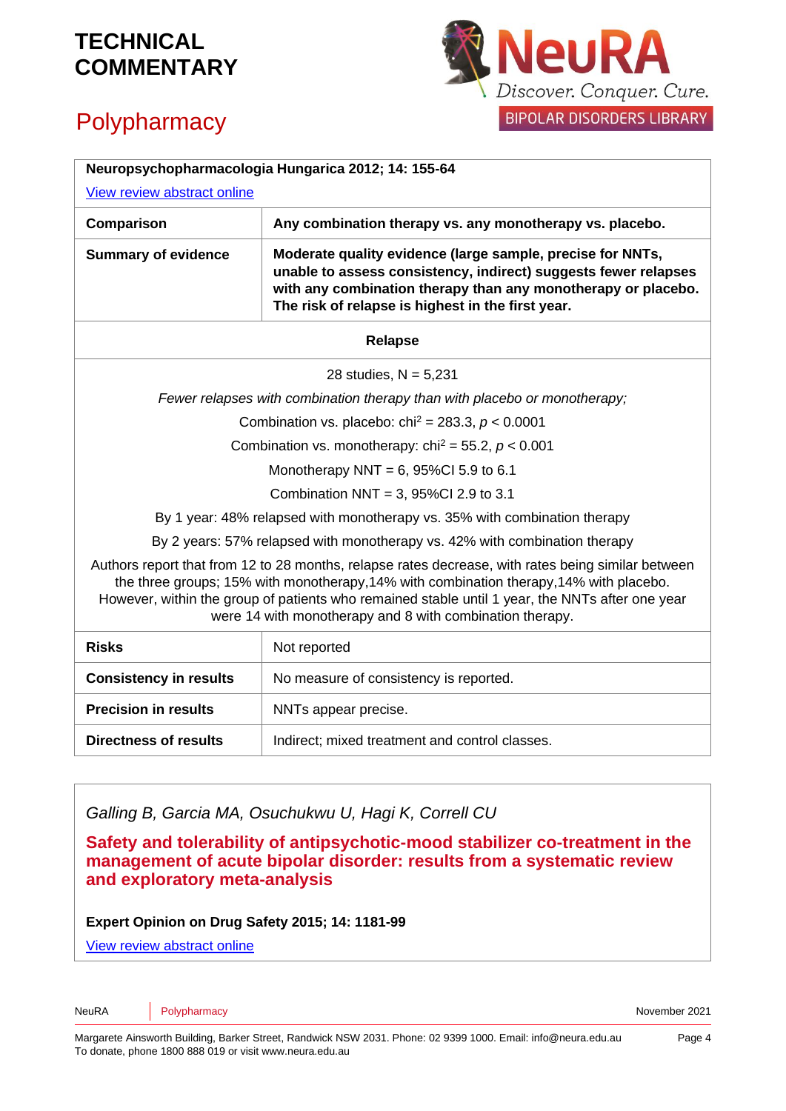## **Polypharmacy**



| Neuropsychopharmacologia Hungarica 2012; 14: 155-64<br>View review abstract online                                                                                                                                                                                                                                                                           |                                                                                                                                                                                                                                                     |
|--------------------------------------------------------------------------------------------------------------------------------------------------------------------------------------------------------------------------------------------------------------------------------------------------------------------------------------------------------------|-----------------------------------------------------------------------------------------------------------------------------------------------------------------------------------------------------------------------------------------------------|
| Comparison                                                                                                                                                                                                                                                                                                                                                   | Any combination therapy vs. any monotherapy vs. placebo.                                                                                                                                                                                            |
| <b>Summary of evidence</b>                                                                                                                                                                                                                                                                                                                                   | Moderate quality evidence (large sample, precise for NNTs,<br>unable to assess consistency, indirect) suggests fewer relapses<br>with any combination therapy than any monotherapy or placebo.<br>The risk of relapse is highest in the first year. |
| <b>Relapse</b>                                                                                                                                                                                                                                                                                                                                               |                                                                                                                                                                                                                                                     |
| 28 studies, $N = 5,231$                                                                                                                                                                                                                                                                                                                                      |                                                                                                                                                                                                                                                     |
| Fewer relapses with combination therapy than with placebo or monotherapy;                                                                                                                                                                                                                                                                                    |                                                                                                                                                                                                                                                     |
| Combination vs. placebo: chi <sup>2</sup> = 283.3, $p < 0.0001$                                                                                                                                                                                                                                                                                              |                                                                                                                                                                                                                                                     |
| Combination vs. monotherapy: chi <sup>2</sup> = 55.2, $p < 0.001$                                                                                                                                                                                                                                                                                            |                                                                                                                                                                                                                                                     |
| Monotherapy NNT = $6,95\%$ Cl 5.9 to 6.1                                                                                                                                                                                                                                                                                                                     |                                                                                                                                                                                                                                                     |
| Combination NNT = 3, $95\%$ Cl 2.9 to 3.1                                                                                                                                                                                                                                                                                                                    |                                                                                                                                                                                                                                                     |
| By 1 year: 48% relapsed with monotherapy vs. 35% with combination therapy                                                                                                                                                                                                                                                                                    |                                                                                                                                                                                                                                                     |
| By 2 years: 57% relapsed with monotherapy vs. 42% with combination therapy                                                                                                                                                                                                                                                                                   |                                                                                                                                                                                                                                                     |
| Authors report that from 12 to 28 months, relapse rates decrease, with rates being similar between<br>the three groups; 15% with monotherapy, 14% with combination therapy, 14% with placebo.<br>However, within the group of patients who remained stable until 1 year, the NNTs after one year<br>were 14 with monotherapy and 8 with combination therapy. |                                                                                                                                                                                                                                                     |
| <b>Risks</b>                                                                                                                                                                                                                                                                                                                                                 | Not reported                                                                                                                                                                                                                                        |
| <b>Consistency in results</b>                                                                                                                                                                                                                                                                                                                                | No measure of consistency is reported.                                                                                                                                                                                                              |
| <b>Precision in results</b>                                                                                                                                                                                                                                                                                                                                  | NNTs appear precise.                                                                                                                                                                                                                                |
| Directness of results                                                                                                                                                                                                                                                                                                                                        | Indirect; mixed treatment and control classes.                                                                                                                                                                                                      |

*Galling B, Garcia MA, Osuchukwu U, Hagi K, Correll CU* 

**Safety and tolerability of antipsychotic-mood stabilizer co-treatment in the management of acute bipolar disorder: results from a systematic review and exploratory meta-analysis**

**Expert Opinion on Drug Safety 2015; 14: 1181-99**

[View review abstract online](https://www.ncbi.nlm.nih.gov/pubmed/26107820)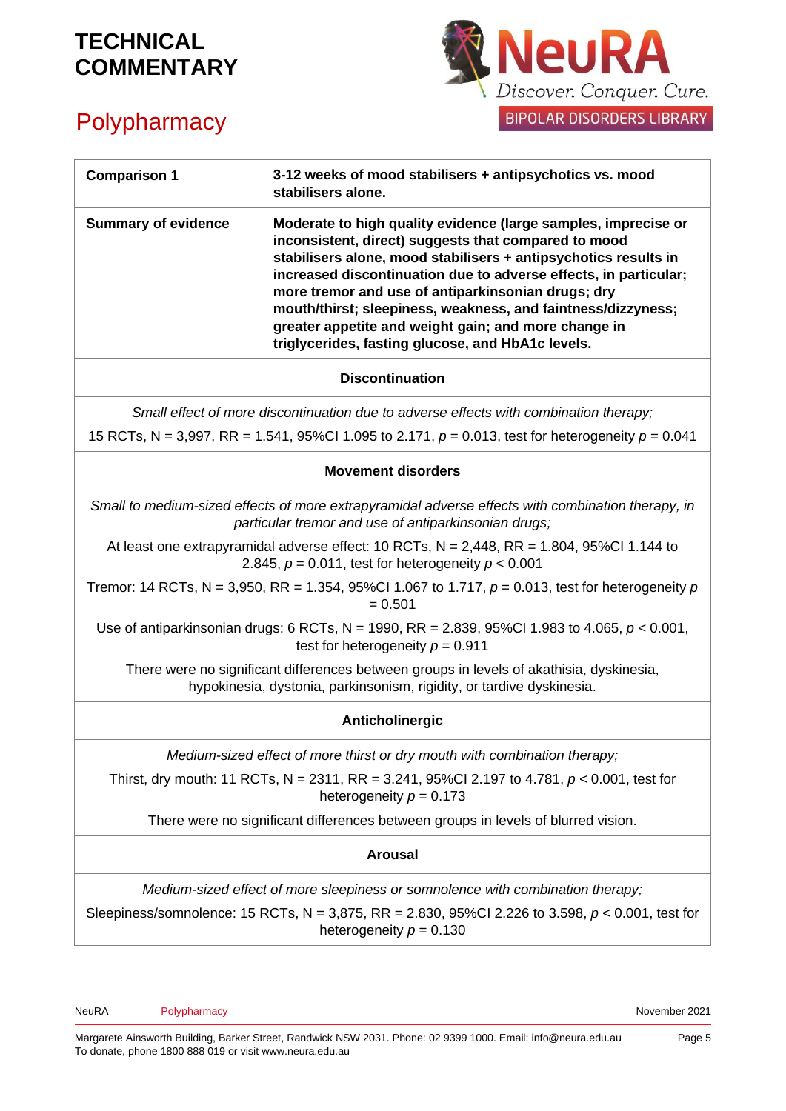

# **Polypharmacy**

| <b>Comparison 1</b>                                                                                                                                                                                                                                                                                                                                                                                                                                                                                                                                                                                                                                                              | 3-12 weeks of mood stabilisers + antipsychotics vs. mood<br>stabilisers alone.                                                                                                                                                                                                                                                                                                                                                                                                                   |
|----------------------------------------------------------------------------------------------------------------------------------------------------------------------------------------------------------------------------------------------------------------------------------------------------------------------------------------------------------------------------------------------------------------------------------------------------------------------------------------------------------------------------------------------------------------------------------------------------------------------------------------------------------------------------------|--------------------------------------------------------------------------------------------------------------------------------------------------------------------------------------------------------------------------------------------------------------------------------------------------------------------------------------------------------------------------------------------------------------------------------------------------------------------------------------------------|
| <b>Summary of evidence</b>                                                                                                                                                                                                                                                                                                                                                                                                                                                                                                                                                                                                                                                       | Moderate to high quality evidence (large samples, imprecise or<br>inconsistent, direct) suggests that compared to mood<br>stabilisers alone, mood stabilisers + antipsychotics results in<br>increased discontinuation due to adverse effects, in particular;<br>more tremor and use of antiparkinsonian drugs; dry<br>mouth/thirst; sleepiness, weakness, and faintness/dizzyness;<br>greater appetite and weight gain; and more change in<br>triglycerides, fasting glucose, and HbA1c levels. |
|                                                                                                                                                                                                                                                                                                                                                                                                                                                                                                                                                                                                                                                                                  | <b>Discontinuation</b>                                                                                                                                                                                                                                                                                                                                                                                                                                                                           |
| Small effect of more discontinuation due to adverse effects with combination therapy;<br>15 RCTs, N = 3,997, RR = 1.541, 95%CI 1.095 to 2.171, $p = 0.013$ , test for heterogeneity $p = 0.041$                                                                                                                                                                                                                                                                                                                                                                                                                                                                                  |                                                                                                                                                                                                                                                                                                                                                                                                                                                                                                  |
|                                                                                                                                                                                                                                                                                                                                                                                                                                                                                                                                                                                                                                                                                  | <b>Movement disorders</b>                                                                                                                                                                                                                                                                                                                                                                                                                                                                        |
| Small to medium-sized effects of more extrapyramidal adverse effects with combination therapy, in<br>particular tremor and use of antiparkinsonian drugs;<br>At least one extrapyramidal adverse effect: 10 RCTs, $N = 2,448$ , RR = 1.804, 95%Cl 1.144 to<br>2.845, $p = 0.011$ , test for heterogeneity $p < 0.001$<br>Tremor: 14 RCTs, N = 3,950, RR = 1.354, 95%CI 1.067 to 1.717, $p = 0.013$ , test for heterogeneity p<br>$= 0.501$<br>Use of antiparkinsonian drugs: 6 RCTs, N = 1990, RR = 2.839, 95%CI 1.983 to 4.065, $p < 0.001$ ,<br>test for heterogeneity $p = 0.911$<br>There were no significant differences between groups in levels of akathisia, dyskinesia, |                                                                                                                                                                                                                                                                                                                                                                                                                                                                                                  |
| hypokinesia, dystonia, parkinsonism, rigidity, or tardive dyskinesia.<br>Anticholinergic                                                                                                                                                                                                                                                                                                                                                                                                                                                                                                                                                                                         |                                                                                                                                                                                                                                                                                                                                                                                                                                                                                                  |
| Medium-sized effect of more thirst or dry mouth with combination therapy;<br>Thirst, dry mouth: 11 RCTs, N = 2311, RR = 3.241, 95%CI 2.197 to 4.781, $p < 0.001$ , test for<br>heterogeneity $p = 0.173$<br>There were no significant differences between groups in levels of blurred vision.                                                                                                                                                                                                                                                                                                                                                                                    |                                                                                                                                                                                                                                                                                                                                                                                                                                                                                                  |
| <b>Arousal</b>                                                                                                                                                                                                                                                                                                                                                                                                                                                                                                                                                                                                                                                                   |                                                                                                                                                                                                                                                                                                                                                                                                                                                                                                  |
| Medium-sized effect of more sleepiness or somnolence with combination therapy;<br>Sleepiness/somnolence: 15 RCTs, N = 3,875, RR = 2.830, 95%Cl 2.226 to 3.598, $p < 0.001$ , test for<br>heterogeneity $p = 0.130$                                                                                                                                                                                                                                                                                                                                                                                                                                                               |                                                                                                                                                                                                                                                                                                                                                                                                                                                                                                  |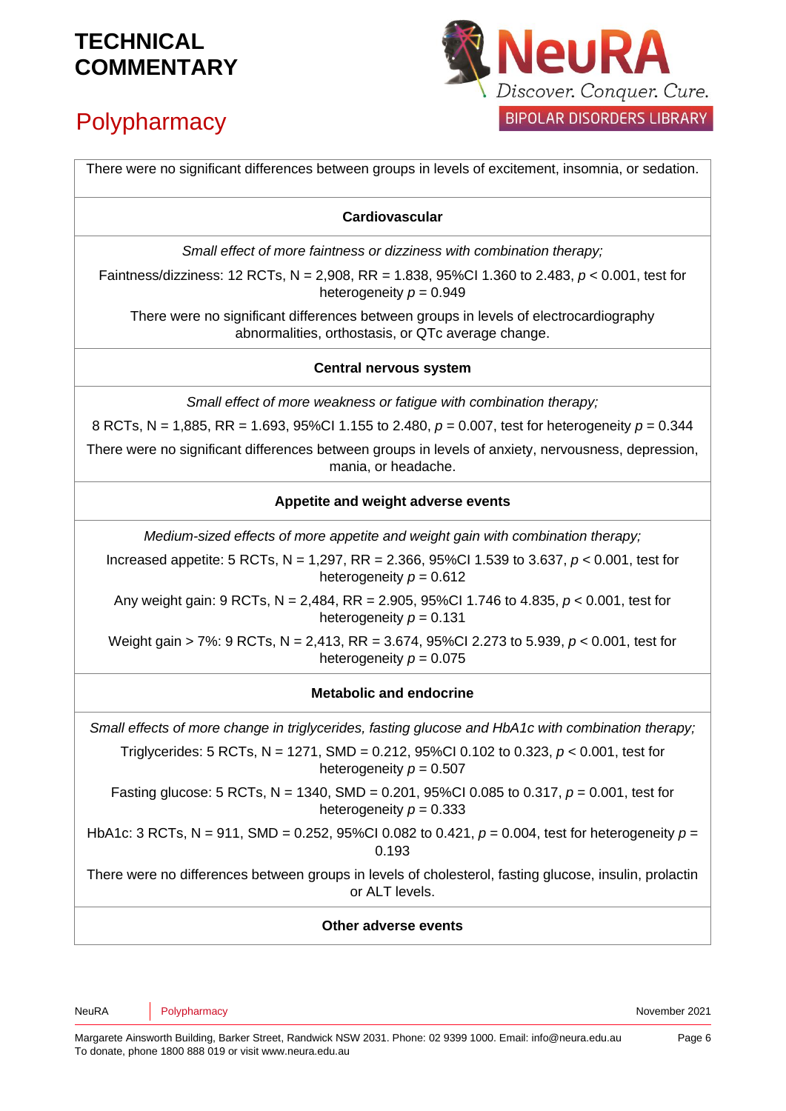# **Polypharmacy**



There were no significant differences between groups in levels of excitement, insomnia, or sedation. **Cardiovascular** *Small effect of more faintness or dizziness with combination therapy;*  Faintness/dizziness: 12 RCTs, N = 2,908, RR = 1.838, 95%CI 1.360 to 2.483, *p* < 0.001, test for heterogeneity *p* = 0.949 There were no significant differences between groups in levels of electrocardiography abnormalities, orthostasis, or QTc average change. **Central nervous system** *Small effect of more weakness or fatigue with combination therapy;*  8 RCTs, N = 1,885, RR = 1.693, 95%CI 1.155 to 2.480, *p* = 0.007, test for heterogeneity *p* = 0.344 There were no significant differences between groups in levels of anxiety, nervousness, depression, mania, or headache. **Appetite and weight adverse events** *Medium-sized effects of more appetite and weight gain with combination therapy;*  Increased appetite: 5 RCTs, N = 1,297, RR = 2.366, 95%CI 1.539 to 3.637, *p* < 0.001, test for heterogeneity  $p = 0.612$ Any weight gain: 9 RCTs, N = 2,484, RR = 2.905, 95%CI 1.746 to 4.835, *p* < 0.001, test for heterogeneity  $p = 0.131$ Weight gain > 7%: 9 RCTs, N = 2,413, RR = 3.674, 95%CI 2.273 to 5.939, *p* < 0.001, test for heterogeneity  $p = 0.075$ **Metabolic and endocrine** *Small effects of more change in triglycerides, fasting glucose and HbA1c with combination therapy;*  Triglycerides: 5 RCTs, N = 1271, SMD = 0.212, 95%CI 0.102 to 0.323, *p* < 0.001, test for heterogeneity  $p = 0.507$ Fasting glucose: 5 RCTs, N = 1340, SMD = 0.201, 95%CI 0.085 to 0.317, *p* = 0.001, test for heterogeneity  $p = 0.333$ HbA1c: 3 RCTs, N = 911, SMD = 0.252, 95%CI 0.082 to 0.421, *p* = 0.004, test for heterogeneity *p* = 0.193 There were no differences between groups in levels of cholesterol, fasting glucose, insulin, prolactin or ALT levels. **Other adverse events**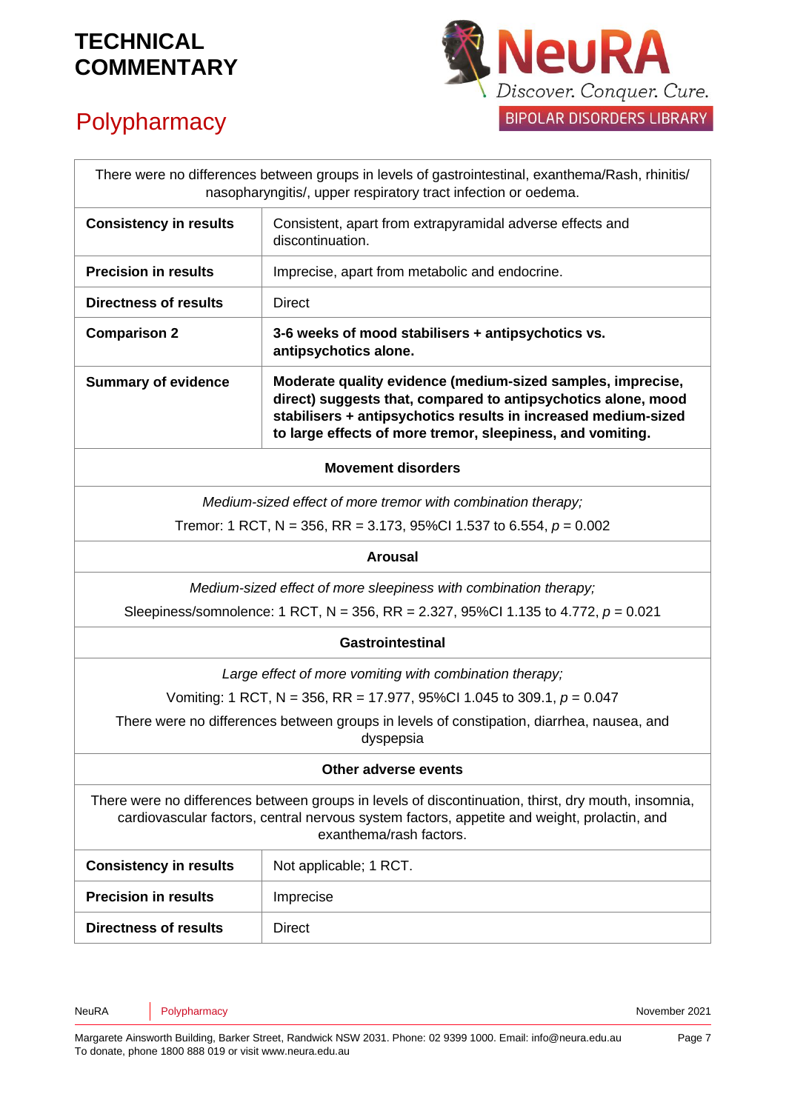

# **Polypharmacy**

| There were no differences between groups in levels of gastrointestinal, exanthema/Rash, rhinitis/<br>nasopharyngitis/, upper respiratory tract infection or oedema.                                                           |                                                                                                                                                                                                                                                              |
|-------------------------------------------------------------------------------------------------------------------------------------------------------------------------------------------------------------------------------|--------------------------------------------------------------------------------------------------------------------------------------------------------------------------------------------------------------------------------------------------------------|
| <b>Consistency in results</b>                                                                                                                                                                                                 | Consistent, apart from extrapyramidal adverse effects and<br>discontinuation.                                                                                                                                                                                |
| <b>Precision in results</b>                                                                                                                                                                                                   | Imprecise, apart from metabolic and endocrine.                                                                                                                                                                                                               |
| <b>Directness of results</b>                                                                                                                                                                                                  | <b>Direct</b>                                                                                                                                                                                                                                                |
| <b>Comparison 2</b>                                                                                                                                                                                                           | 3-6 weeks of mood stabilisers + antipsychotics vs.<br>antipsychotics alone.                                                                                                                                                                                  |
| <b>Summary of evidence</b>                                                                                                                                                                                                    | Moderate quality evidence (medium-sized samples, imprecise,<br>direct) suggests that, compared to antipsychotics alone, mood<br>stabilisers + antipsychotics results in increased medium-sized<br>to large effects of more tremor, sleepiness, and vomiting. |
| <b>Movement disorders</b>                                                                                                                                                                                                     |                                                                                                                                                                                                                                                              |
| Medium-sized effect of more tremor with combination therapy;                                                                                                                                                                  |                                                                                                                                                                                                                                                              |
| Tremor: 1 RCT, N = 356, RR = 3.173, 95%CI 1.537 to 6.554, $p = 0.002$                                                                                                                                                         |                                                                                                                                                                                                                                                              |
| <b>Arousal</b>                                                                                                                                                                                                                |                                                                                                                                                                                                                                                              |
| Medium-sized effect of more sleepiness with combination therapy;                                                                                                                                                              |                                                                                                                                                                                                                                                              |
| Sleepiness/somnolence: 1 RCT, N = 356, RR = 2.327, 95%Cl 1.135 to 4.772, $p = 0.021$                                                                                                                                          |                                                                                                                                                                                                                                                              |
| <b>Gastrointestinal</b>                                                                                                                                                                                                       |                                                                                                                                                                                                                                                              |
| Large effect of more vomiting with combination therapy;                                                                                                                                                                       |                                                                                                                                                                                                                                                              |
|                                                                                                                                                                                                                               | Vomiting: 1 RCT, N = 356, RR = 17.977, 95%CI 1.045 to 309.1, $p = 0.047$                                                                                                                                                                                     |
| There were no differences between groups in levels of constipation, diarrhea, nausea, and<br>dyspepsia                                                                                                                        |                                                                                                                                                                                                                                                              |
| Other adverse events                                                                                                                                                                                                          |                                                                                                                                                                                                                                                              |
| There were no differences between groups in levels of discontinuation, thirst, dry mouth, insomnia,<br>cardiovascular factors, central nervous system factors, appetite and weight, prolactin, and<br>exanthema/rash factors. |                                                                                                                                                                                                                                                              |
| <b>Consistency in results</b>                                                                                                                                                                                                 | Not applicable; 1 RCT.                                                                                                                                                                                                                                       |
| <b>Precision in results</b>                                                                                                                                                                                                   | Imprecise                                                                                                                                                                                                                                                    |
| <b>Directness of results</b>                                                                                                                                                                                                  | <b>Direct</b>                                                                                                                                                                                                                                                |

NeuRA Polypharmacy **Provides and Provident Automobile CO21** November 2021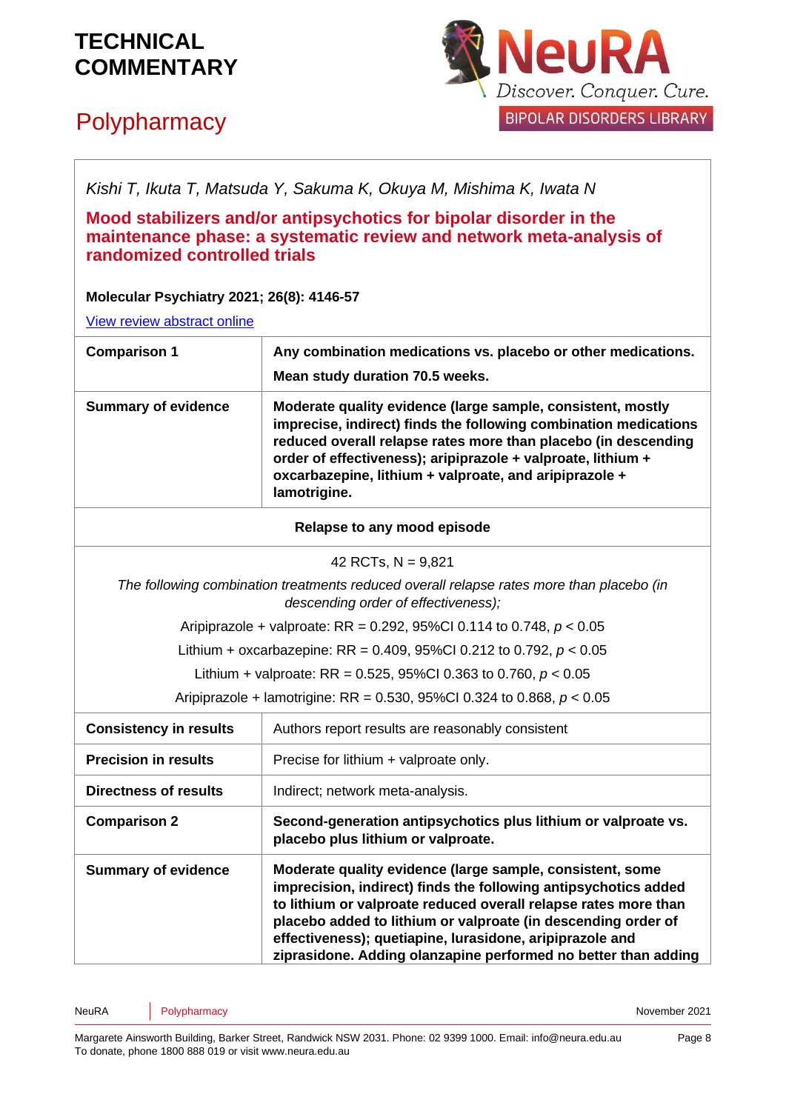# **Polypharmacy**



*Kishi T, Ikuta T, Matsuda Y, Sakuma K, Okuya M, Mishima K, Iwata N*

**Mood stabilizers and/or antipsychotics for bipolar disorder in the maintenance phase: a systematic review and network meta-analysis of randomized controlled trials** 

**Molecular Psychiatry 2021; 26(8): 4146-57**

[View review abstract online](https://www.ncbi.nlm.nih.gov/pubmed/27207910)

| <b>Comparison 1</b>                                                                                                             | Any combination medications vs. placebo or other medications.<br>Mean study duration 70.5 weeks.                                                                                                                                                                                                                                                                                               |  |
|---------------------------------------------------------------------------------------------------------------------------------|------------------------------------------------------------------------------------------------------------------------------------------------------------------------------------------------------------------------------------------------------------------------------------------------------------------------------------------------------------------------------------------------|--|
| <b>Summary of evidence</b>                                                                                                      | Moderate quality evidence (large sample, consistent, mostly<br>imprecise, indirect) finds the following combination medications<br>reduced overall relapse rates more than placebo (in descending<br>order of effectiveness); aripiprazole + valproate, lithium +<br>oxcarbazepine, lithium + valproate, and aripiprazole +<br>lamotrigine.                                                    |  |
| Relapse to any mood episode                                                                                                     |                                                                                                                                                                                                                                                                                                                                                                                                |  |
| 42 RCTs, $N = 9,821$                                                                                                            |                                                                                                                                                                                                                                                                                                                                                                                                |  |
| The following combination treatments reduced overall relapse rates more than placebo (in<br>descending order of effectiveness); |                                                                                                                                                                                                                                                                                                                                                                                                |  |
| Aripiprazole + valproate: RR = 0.292, 95%Cl 0.114 to 0.748, $p < 0.05$                                                          |                                                                                                                                                                                                                                                                                                                                                                                                |  |
| Lithium + oxcarbazepine: RR = 0.409, 95%Cl 0.212 to 0.792, $p < 0.05$                                                           |                                                                                                                                                                                                                                                                                                                                                                                                |  |
|                                                                                                                                 | Lithium + valproate: RR = 0.525, 95%CI 0.363 to 0.760, $p < 0.05$                                                                                                                                                                                                                                                                                                                              |  |
| Aripiprazole + lamotrigine: RR = 0.530, 95%Cl 0.324 to 0.868, $p < 0.05$                                                        |                                                                                                                                                                                                                                                                                                                                                                                                |  |
| <b>Consistency in results</b>                                                                                                   | Authors report results are reasonably consistent                                                                                                                                                                                                                                                                                                                                               |  |
| <b>Precision in results</b>                                                                                                     | Precise for lithium + valproate only.                                                                                                                                                                                                                                                                                                                                                          |  |
| <b>Directness of results</b>                                                                                                    | Indirect; network meta-analysis.                                                                                                                                                                                                                                                                                                                                                               |  |
| <b>Comparison 2</b>                                                                                                             | Second-generation antipsychotics plus lithium or valproate vs.<br>placebo plus lithium or valproate.                                                                                                                                                                                                                                                                                           |  |
| <b>Summary of evidence</b>                                                                                                      | Moderate quality evidence (large sample, consistent, some<br>imprecision, indirect) finds the following antipsychotics added<br>to lithium or valproate reduced overall relapse rates more than<br>placebo added to lithium or valproate (in descending order of<br>effectiveness); quetiapine, lurasidone, aripiprazole and<br>ziprasidone. Adding olanzapine performed no better than adding |  |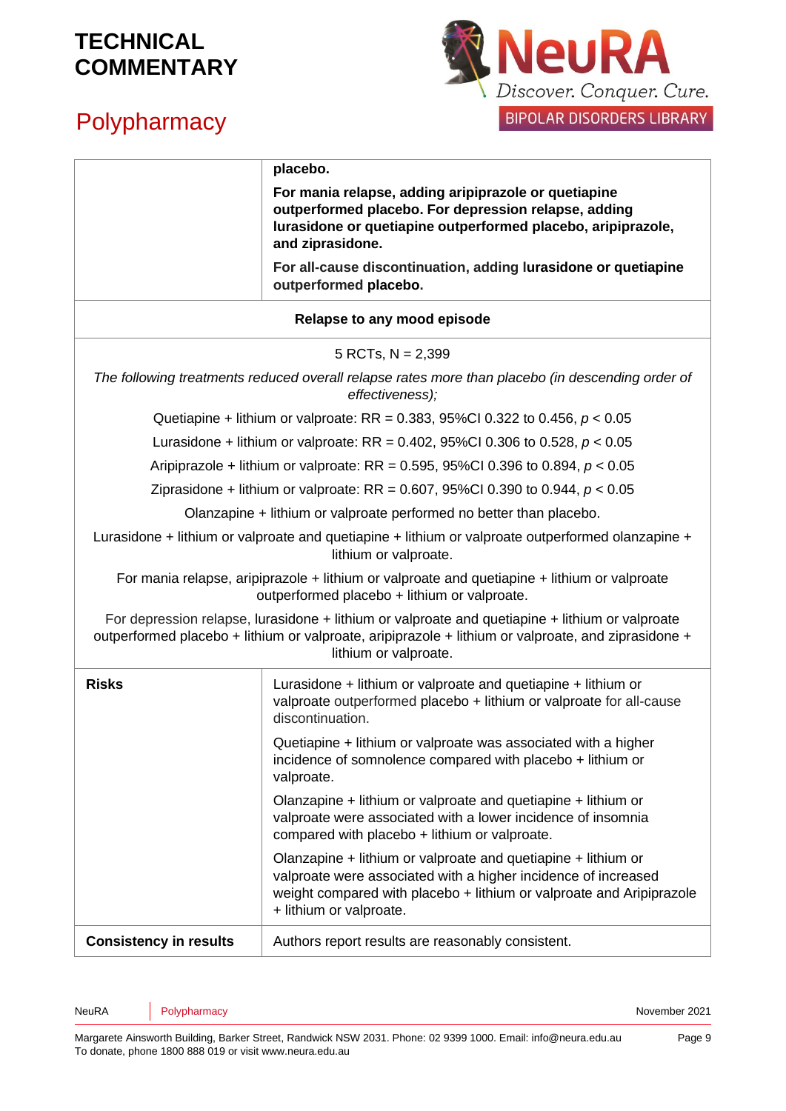## **Polypharmacy**



|                                                                                                                                                                                                                                 | placebo.                                                                                                                                                                                                                           |  |
|---------------------------------------------------------------------------------------------------------------------------------------------------------------------------------------------------------------------------------|------------------------------------------------------------------------------------------------------------------------------------------------------------------------------------------------------------------------------------|--|
|                                                                                                                                                                                                                                 | For mania relapse, adding aripiprazole or quetiapine<br>outperformed placebo. For depression relapse, adding<br>lurasidone or quetiapine outperformed placebo, aripiprazole,<br>and ziprasidone.                                   |  |
|                                                                                                                                                                                                                                 | For all-cause discontinuation, adding lurasidone or quetiapine<br>outperformed placebo.                                                                                                                                            |  |
|                                                                                                                                                                                                                                 | Relapse to any mood episode                                                                                                                                                                                                        |  |
| 5 RCTs, $N = 2,399$                                                                                                                                                                                                             |                                                                                                                                                                                                                                    |  |
| The following treatments reduced overall relapse rates more than placebo (in descending order of<br>effectiveness);                                                                                                             |                                                                                                                                                                                                                                    |  |
| Quetiapine + lithium or valproate: RR = 0.383, 95%Cl 0.322 to 0.456, $p < 0.05$                                                                                                                                                 |                                                                                                                                                                                                                                    |  |
|                                                                                                                                                                                                                                 | Lurasidone + lithium or valproate: RR = 0.402, 95%Cl 0.306 to 0.528, $p < 0.05$                                                                                                                                                    |  |
|                                                                                                                                                                                                                                 | Aripiprazole + lithium or valproate: RR = 0.595, 95%CI 0.396 to 0.894, $p < 0.05$                                                                                                                                                  |  |
|                                                                                                                                                                                                                                 | Ziprasidone + lithium or valproate: RR = 0.607, 95%Cl 0.390 to 0.944, $p < 0.05$                                                                                                                                                   |  |
|                                                                                                                                                                                                                                 | Olanzapine + lithium or valproate performed no better than placebo.                                                                                                                                                                |  |
| Lurasidone + lithium or valproate and quetiapine + lithium or valproate outperformed olanzapine +<br>lithium or valproate.                                                                                                      |                                                                                                                                                                                                                                    |  |
| For mania relapse, aripiprazole + lithium or valproate and quetiapine + lithium or valproate<br>outperformed placebo + lithium or valproate.                                                                                    |                                                                                                                                                                                                                                    |  |
| For depression relapse, lurasidone + lithium or valproate and quetiapine + lithium or valproate<br>outperformed placebo + lithium or valproate, aripiprazole + lithium or valproate, and ziprasidone +<br>lithium or valproate. |                                                                                                                                                                                                                                    |  |
| <b>Risks</b>                                                                                                                                                                                                                    | Lurasidone + lithium or valproate and quetiapine + lithium or<br>valproate outperformed placebo + lithium or valproate for all-cause<br>discontinuation.                                                                           |  |
|                                                                                                                                                                                                                                 | Quetiapine + lithium or valproate was associated with a higher<br>incidence of somnolence compared with placebo + lithium or<br>valproate.                                                                                         |  |
|                                                                                                                                                                                                                                 | Olanzapine + lithium or valproate and quetiapine + lithium or<br>valproate were associated with a lower incidence of insomnia<br>compared with placebo + lithium or valproate.                                                     |  |
|                                                                                                                                                                                                                                 | Olanzapine + lithium or valproate and quetiapine + lithium or<br>valproate were associated with a higher incidence of increased<br>weight compared with placebo + lithium or valproate and Aripiprazole<br>+ lithium or valproate. |  |
| <b>Consistency in results</b>                                                                                                                                                                                                   | Authors report results are reasonably consistent.                                                                                                                                                                                  |  |

NeuRA Polypharmacy **Provides and Provident Automobile CO21** November 2021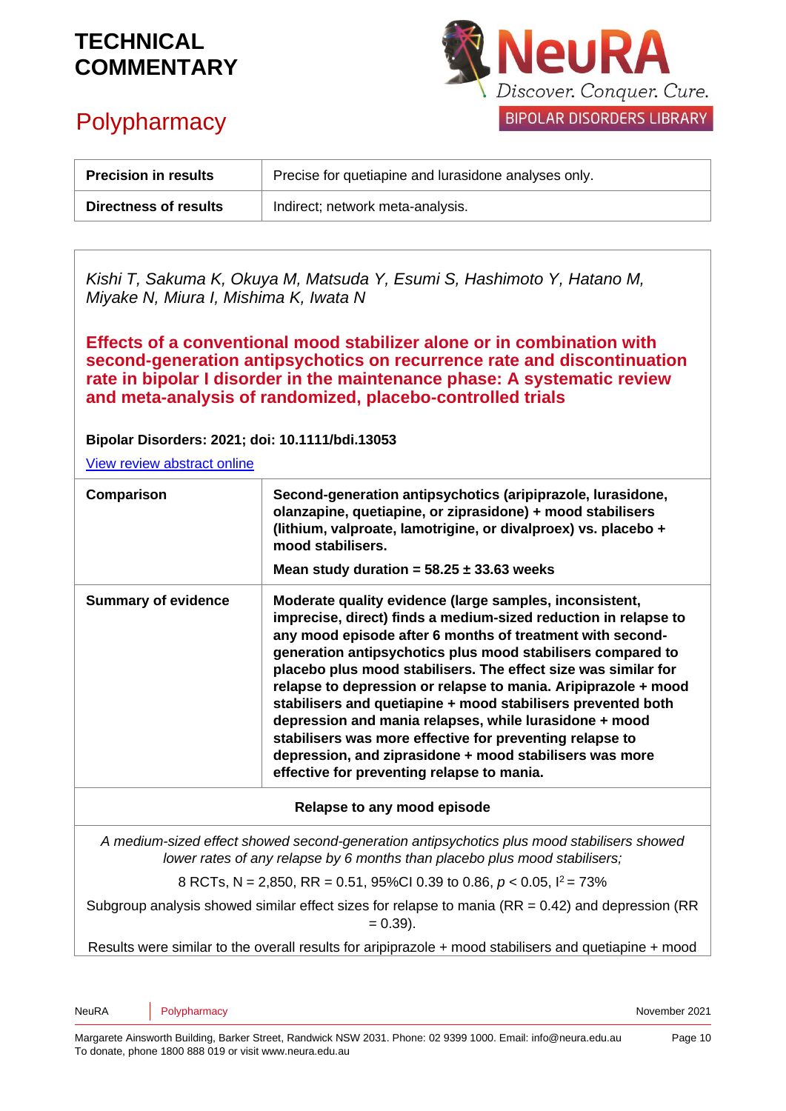## **Polypharmacy**



| <b>Precision in results</b>  | Precise for quetiapine and lurasidone analyses only. |
|------------------------------|------------------------------------------------------|
| <b>Directness of results</b> | Indirect; network meta-analysis.                     |

*Kishi T, Sakuma K, Okuya M, Matsuda Y, Esumi S, Hashimoto Y, Hatano M, Miyake N, Miura I, Mishima K, Iwata N*

**Effects of a conventional mood stabilizer alone or in combination with second-generation antipsychotics on recurrence rate and discontinuation rate in bipolar I disorder in the maintenance phase: A systematic review and meta-analysis of randomized, placebo-controlled trials**

**Bipolar Disorders: 2021; doi: 10.1111/bdi.13053**

[View review abstract online](https://pubmed.ncbi.nlm.nih.gov/33561884/)

| Comparison                                                                                                                                                               | Second-generation antipsychotics (aripiprazole, lurasidone,<br>olanzapine, quetiapine, or ziprasidone) + mood stabilisers<br>(lithium, valproate, lamotrigine, or divalproex) vs. placebo +<br>mood stabilisers.<br>Mean study duration = $58.25 \pm 33.63$ weeks                                                                                                                                                                                                                                                                                                                                                                                                                         |
|--------------------------------------------------------------------------------------------------------------------------------------------------------------------------|-------------------------------------------------------------------------------------------------------------------------------------------------------------------------------------------------------------------------------------------------------------------------------------------------------------------------------------------------------------------------------------------------------------------------------------------------------------------------------------------------------------------------------------------------------------------------------------------------------------------------------------------------------------------------------------------|
| <b>Summary of evidence</b>                                                                                                                                               | Moderate quality evidence (large samples, inconsistent,<br>imprecise, direct) finds a medium-sized reduction in relapse to<br>any mood episode after 6 months of treatment with second-<br>generation antipsychotics plus mood stabilisers compared to<br>placebo plus mood stabilisers. The effect size was similar for<br>relapse to depression or relapse to mania. Aripiprazole + mood<br>stabilisers and quetiapine + mood stabilisers prevented both<br>depression and mania relapses, while lurasidone + mood<br>stabilisers was more effective for preventing relapse to<br>depression, and ziprasidone + mood stabilisers was more<br>effective for preventing relapse to mania. |
| Relapse to any mood episode                                                                                                                                              |                                                                                                                                                                                                                                                                                                                                                                                                                                                                                                                                                                                                                                                                                           |
| A medium-sized effect showed second-generation antipsychotics plus mood stabilisers showed<br>lower rates of any relapse by 6 months than placebo plus mood stabilisers; |                                                                                                                                                                                                                                                                                                                                                                                                                                                                                                                                                                                                                                                                                           |
| 8 RCTs, N = 2,850, RR = 0.51, 95%CI 0.39 to 0.86, $p < 0.05$ , $1^2 = 73\%$                                                                                              |                                                                                                                                                                                                                                                                                                                                                                                                                                                                                                                                                                                                                                                                                           |
|                                                                                                                                                                          | Subgroup analysis showed similar effect sizes for relapse to mania $(RR = 0.42)$ and depression (RR)<br>$= 0.39$ ).                                                                                                                                                                                                                                                                                                                                                                                                                                                                                                                                                                       |

Results were similar to the overall results for aripiprazole + mood stabilisers and quetiapine + mood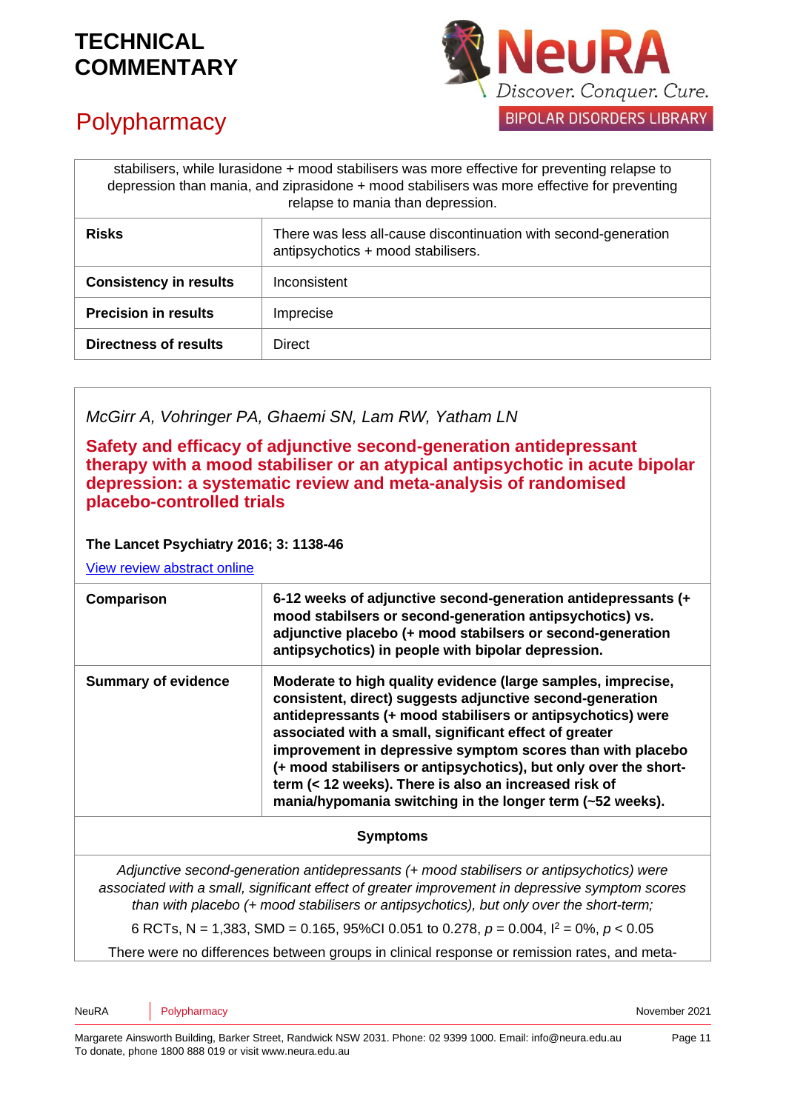

# **Polypharmacy**

| stabilisers, while lurasidone + mood stabilisers was more effective for preventing relapse to<br>depression than mania, and ziprasidone + mood stabilisers was more effective for preventing<br>relapse to mania than depression. |                                                                                                       |
|-----------------------------------------------------------------------------------------------------------------------------------------------------------------------------------------------------------------------------------|-------------------------------------------------------------------------------------------------------|
| <b>Risks</b>                                                                                                                                                                                                                      | There was less all-cause discontinuation with second-generation<br>antipsychotics + mood stabilisers. |
| <b>Consistency in results</b>                                                                                                                                                                                                     | Inconsistent                                                                                          |
| <b>Precision in results</b>                                                                                                                                                                                                       | Imprecise                                                                                             |
| Directness of results                                                                                                                                                                                                             | <b>Direct</b>                                                                                         |

### *McGirr A, Vohringer PA, Ghaemi SN, Lam RW, Yatham LN*

**Safety and efficacy of adjunctive second-generation antidepressant therapy with a mood stabiliser or an atypical antipsychotic in acute bipolar depression: a systematic review and meta-analysis of randomised placebo-controlled trials**

#### **The Lancet Psychiatry 2016; 3: 1138-46**

[View review abstract online](https://www.ncbi.nlm.nih.gov/pubmed/28100425)

| Comparison                 | 6-12 weeks of adjunctive second-generation antidepressants (+<br>mood stabilsers or second-generation antipsychotics) vs.<br>adjunctive placebo (+ mood stabilsers or second-generation<br>antipsychotics) in people with bipolar depression.                                                                                                                                                                                                                                                              |
|----------------------------|------------------------------------------------------------------------------------------------------------------------------------------------------------------------------------------------------------------------------------------------------------------------------------------------------------------------------------------------------------------------------------------------------------------------------------------------------------------------------------------------------------|
| <b>Summary of evidence</b> | Moderate to high quality evidence (large samples, imprecise,<br>consistent, direct) suggests adjunctive second-generation<br>antidepressants (+ mood stabilisers or antipsychotics) were<br>associated with a small, significant effect of greater<br>improvement in depressive symptom scores than with placebo<br>(+ mood stabilisers or antipsychotics), but only over the short-<br>term (< 12 weeks). There is also an increased risk of<br>mania/hypomania switching in the longer term (~52 weeks). |
|                            |                                                                                                                                                                                                                                                                                                                                                                                                                                                                                                            |

#### **Symptoms**

*Adjunctive second-generation antidepressants (+ mood stabilisers or antipsychotics) were associated with a small, significant effect of greater improvement in depressive symptom scores than with placebo (+ mood stabilisers or antipsychotics), but only over the short-term;*

6 RCTs, N = 1,383, SMD = 0.165, 95%CI 0.051 to 0.278, *p* = 0.004, I<sup>2</sup> = 0%, *p* < 0.05

There were no differences between groups in clinical response or remission rates, and meta-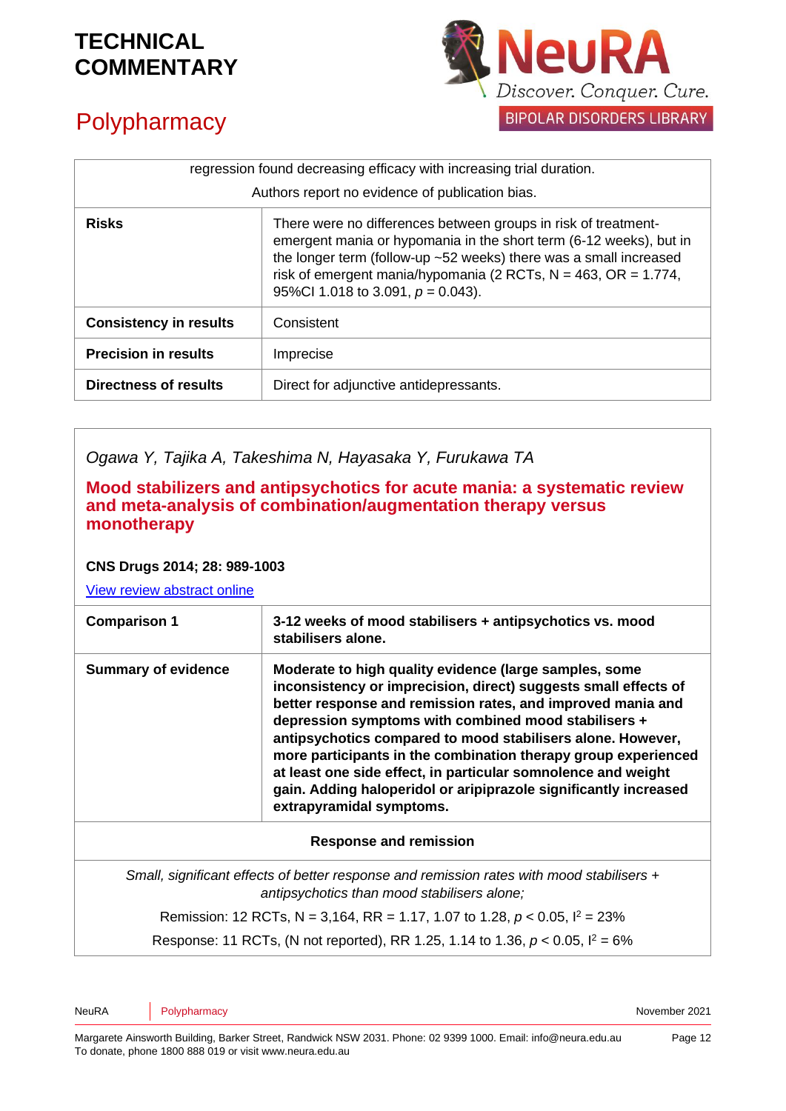

# **Polypharmacy**

| regression found decreasing efficacy with increasing trial duration. |                                                                                                                                                                                                                                                                                                                        |
|----------------------------------------------------------------------|------------------------------------------------------------------------------------------------------------------------------------------------------------------------------------------------------------------------------------------------------------------------------------------------------------------------|
|                                                                      | Authors report no evidence of publication bias.                                                                                                                                                                                                                                                                        |
| <b>Risks</b>                                                         | There were no differences between groups in risk of treatment-<br>emergent mania or hypomania in the short term (6-12 weeks), but in<br>the longer term (follow-up ~52 weeks) there was a small increased<br>risk of emergent mania/hypomania (2 RCTs, $N = 463$ , OR = 1.774,<br>95%Cl 1.018 to 3.091, $p = 0.043$ ). |
| <b>Consistency in results</b>                                        | Consistent                                                                                                                                                                                                                                                                                                             |
| <b>Precision in results</b>                                          | Imprecise                                                                                                                                                                                                                                                                                                              |
| <b>Directness of results</b>                                         | Direct for adjunctive antidepressants.                                                                                                                                                                                                                                                                                 |

*Ogawa Y, Tajika A, Takeshima N, Hayasaka Y, Furukawa TA* 

**Mood stabilizers and antipsychotics for acute mania: a systematic review and meta-analysis of combination/augmentation therapy versus monotherapy** 

#### **CNS Drugs 2014; 28: 989-1003**

[View review abstract online](https://www.ncbi.nlm.nih.gov/pubmed/25160685)

| <b>Summary of evidence</b><br>Moderate to high quality evidence (large samples, some<br>inconsistency or imprecision, direct) suggests small effects of<br>better response and remission rates, and improved mania and<br>depression symptoms with combined mood stabilisers +<br>antipsychotics compared to mood stabilisers alone. However,<br>more participants in the combination therapy group experienced<br>at least one side effect, in particular somnolence and weight<br>gain. Adding haloperidol or aripiprazole significantly increased<br>extrapyramidal symptoms. | <b>Comparison 1</b> | 3-12 weeks of mood stabilisers + antipsychotics vs. mood<br>stabilisers alone. |
|----------------------------------------------------------------------------------------------------------------------------------------------------------------------------------------------------------------------------------------------------------------------------------------------------------------------------------------------------------------------------------------------------------------------------------------------------------------------------------------------------------------------------------------------------------------------------------|---------------------|--------------------------------------------------------------------------------|
|                                                                                                                                                                                                                                                                                                                                                                                                                                                                                                                                                                                  |                     |                                                                                |

#### **Response and remission**

*Small, significant effects of better response and remission rates with mood stabilisers + antipsychotics than mood stabilisers alone;*

Remission: 12 RCTs, N = 3,164, RR = 1.17, 1.07 to 1.28, *p* < 0.05, I <sup>2</sup> = 23%

Response: 11 RCTs, (N not reported), RR 1.25, 1.14 to 1.36, *p* < 0.05, I <sup>2</sup> = 6%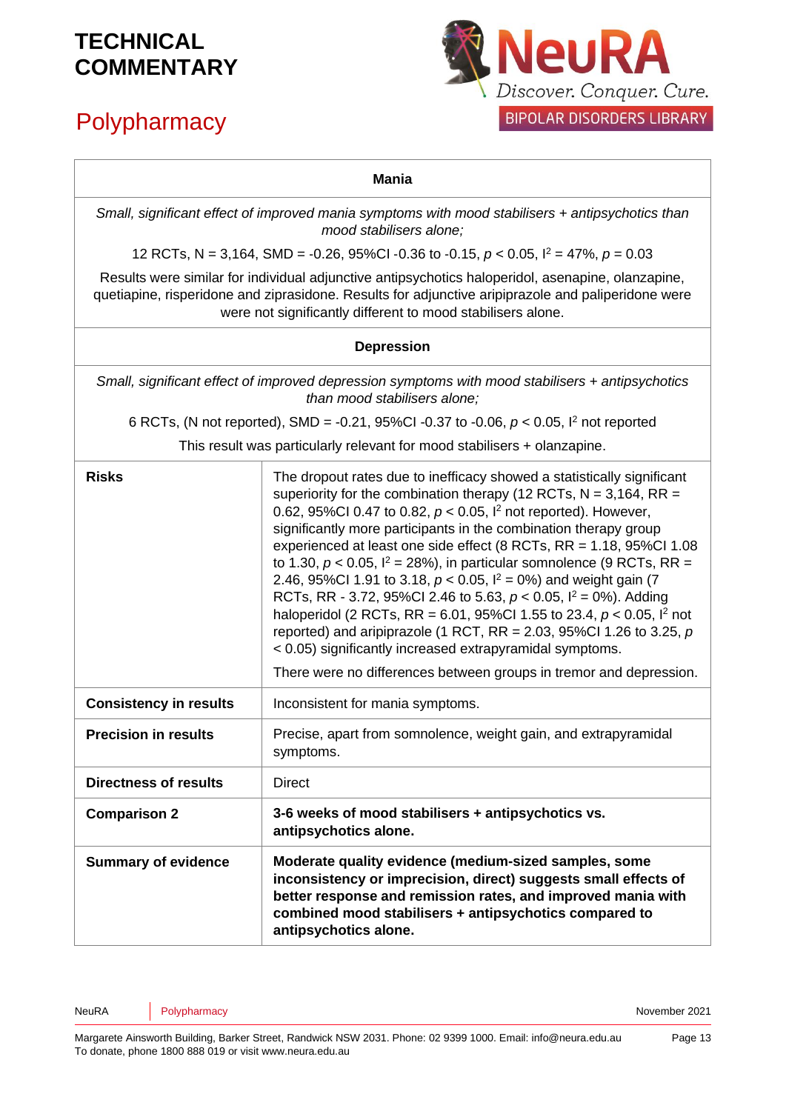# **Polypharmacy**



#### **Mania**

*Small, significant effect of improved mania symptoms with mood stabilisers + antipsychotics than mood stabilisers alone;*

12 RCTs, N = 3,164, SMD =  $-0.26$ , 95%CI  $-0.36$  to  $-0.15$ ,  $p < 0.05$ ,  $l^2 = 47$ %,  $p = 0.03$ 

Results were similar for individual adjunctive antipsychotics haloperidol, asenapine, olanzapine, quetiapine, risperidone and ziprasidone. Results for adjunctive aripiprazole and paliperidone were were not significantly different to mood stabilisers alone.

#### **Depression**

*Small, significant effect of improved depression symptoms with mood stabilisers + antipsychotics than mood stabilisers alone;*

6 RCTs, (N not reported), SMD = -0.21, 95%CI -0.37 to -0.06, *p* < 0.05, I <sup>2</sup> not reported

This result was particularly relevant for mood stabilisers + olanzapine.

| <b>Risks</b>                  | The dropout rates due to inefficacy showed a statistically significant<br>superiority for the combination therapy (12 RCTs, $N = 3,164$ , RR =<br>0.62, 95%Cl 0.47 to 0.82, $p < 0.05$ , $l^2$ not reported). However,<br>significantly more participants in the combination therapy group<br>experienced at least one side effect (8 RCTs, RR = 1.18, 95%Cl 1.08<br>to 1.30, $p < 0.05$ , $l^2 = 28\%)$ , in particular somnolence (9 RCTs, RR =<br>2.46, 95%Cl 1.91 to 3.18, $p < 0.05$ , $l^2 = 0$ %) and weight gain (7<br>RCTs, RR - 3.72, 95%Cl 2.46 to 5.63, $p < 0.05$ , $l^2 = 0$ %). Adding<br>haloperidol (2 RCTs, RR = 6.01, 95%Cl 1.55 to 23.4, $p < 0.05$ , $l^2$ not<br>reported) and aripiprazole (1 RCT, RR = 2.03, 95%Cl 1.26 to 3.25, $p$ |
|-------------------------------|--------------------------------------------------------------------------------------------------------------------------------------------------------------------------------------------------------------------------------------------------------------------------------------------------------------------------------------------------------------------------------------------------------------------------------------------------------------------------------------------------------------------------------------------------------------------------------------------------------------------------------------------------------------------------------------------------------------------------------------------------------------|
|                               | < 0.05) significantly increased extrapyramidal symptoms.<br>There were no differences between groups in tremor and depression.                                                                                                                                                                                                                                                                                                                                                                                                                                                                                                                                                                                                                               |
| <b>Consistency in results</b> | Inconsistent for mania symptoms.                                                                                                                                                                                                                                                                                                                                                                                                                                                                                                                                                                                                                                                                                                                             |
| <b>Precision in results</b>   | Precise, apart from somnolence, weight gain, and extrapyramidal<br>symptoms.                                                                                                                                                                                                                                                                                                                                                                                                                                                                                                                                                                                                                                                                                 |
| <b>Directness of results</b>  | <b>Direct</b>                                                                                                                                                                                                                                                                                                                                                                                                                                                                                                                                                                                                                                                                                                                                                |
| <b>Comparison 2</b>           | 3-6 weeks of mood stabilisers + antipsychotics vs.<br>antipsychotics alone.                                                                                                                                                                                                                                                                                                                                                                                                                                                                                                                                                                                                                                                                                  |
| <b>Summary of evidence</b>    | Moderate quality evidence (medium-sized samples, some<br>inconsistency or imprecision, direct) suggests small effects of<br>better response and remission rates, and improved mania with<br>combined mood stabilisers + antipsychotics compared to<br>antipsychotics alone.                                                                                                                                                                                                                                                                                                                                                                                                                                                                                  |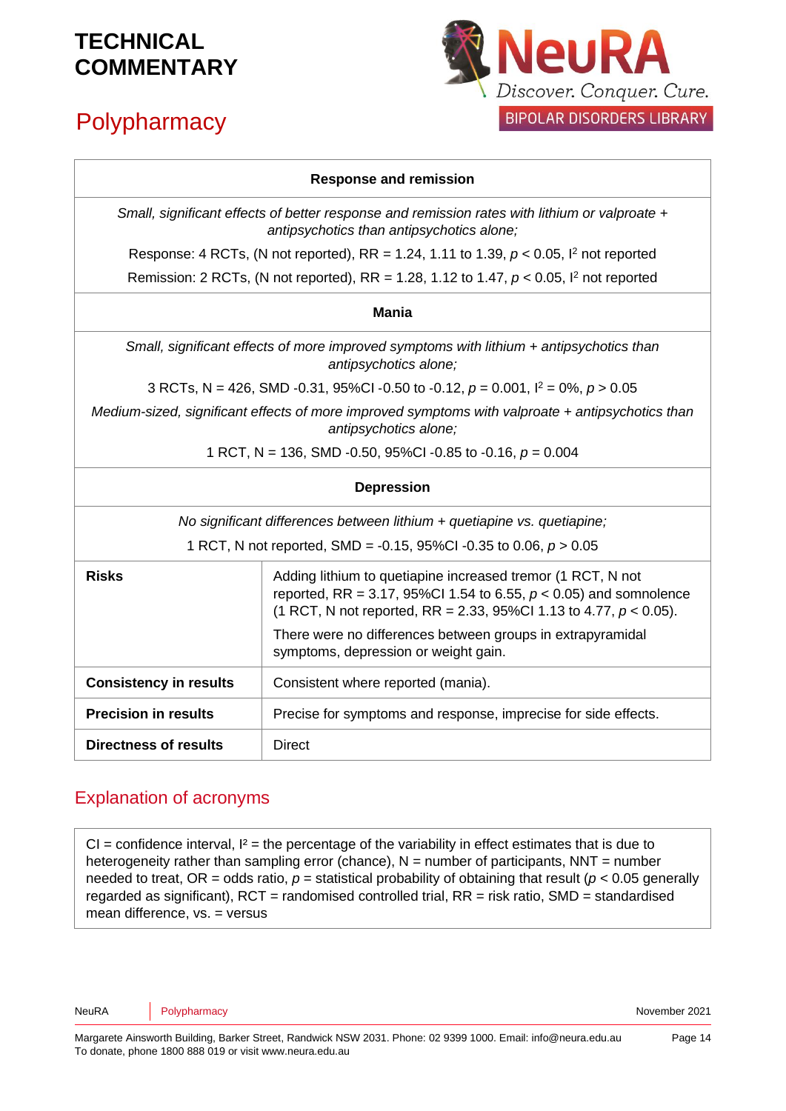# **Polypharmacy**



#### **Response and remission**

*Small, significant effects of better response and remission rates with lithium or valproate + antipsychotics than antipsychotics alone;*

Response: 4 RCTs, (N not reported), RR = 1.24, 1.11 to 1.39, *p* < 0.05, I <sup>2</sup> not reported

Remission: 2 RCTs, (N not reported), RR = 1.28, 1.12 to 1.47, *p* < 0.05, I <sup>2</sup> not reported

#### **Mania**

*Small, significant effects of more improved symptoms with lithium + antipsychotics than antipsychotics alone;*

3 RCTs, N = 426, SMD -0.31, 95%CI -0.50 to -0.12, *p* = 0.001, I <sup>2</sup> = 0%, *p* > 0.05

*Medium-sized, significant effects of more improved symptoms with valproate + antipsychotics than antipsychotics alone;*

1 RCT, N = 136, SMD -0.50, 95%CI -0.85 to -0.16, *p* = 0.004

#### **Depression**

*No significant differences between lithium + quetiapine vs. quetiapine;*

| <b>Risks</b>                  | Adding lithium to quetiapine increased tremor (1 RCT, N not<br>reported, RR = 3.17, 95%Cl 1.54 to 6.55, $p < 0.05$ ) and somnolence<br>(1 RCT, N not reported, RR = 2.33, 95%Cl 1.13 to 4.77, $p < 0.05$ ).<br>There were no differences between groups in extrapyramidal |
|-------------------------------|---------------------------------------------------------------------------------------------------------------------------------------------------------------------------------------------------------------------------------------------------------------------------|
|                               | symptoms, depression or weight gain.                                                                                                                                                                                                                                      |
| <b>Consistency in results</b> | Consistent where reported (mania).                                                                                                                                                                                                                                        |
| <b>Precision in results</b>   | Precise for symptoms and response, imprecise for side effects.                                                                                                                                                                                                            |
| Directness of results         | <b>Direct</b>                                                                                                                                                                                                                                                             |

### Explanation of acronyms

 $CI =$  confidence interval,  $I^2 =$  the percentage of the variability in effect estimates that is due to heterogeneity rather than sampling error (chance),  $N =$  number of participants,  $NNT =$  number needed to treat, OR = odds ratio,  $p$  = statistical probability of obtaining that result ( $p < 0.05$  generally regarded as significant),  $RCT$  = randomised controlled trial,  $RR$  = risk ratio, SMD = standardised mean difference, vs. = versus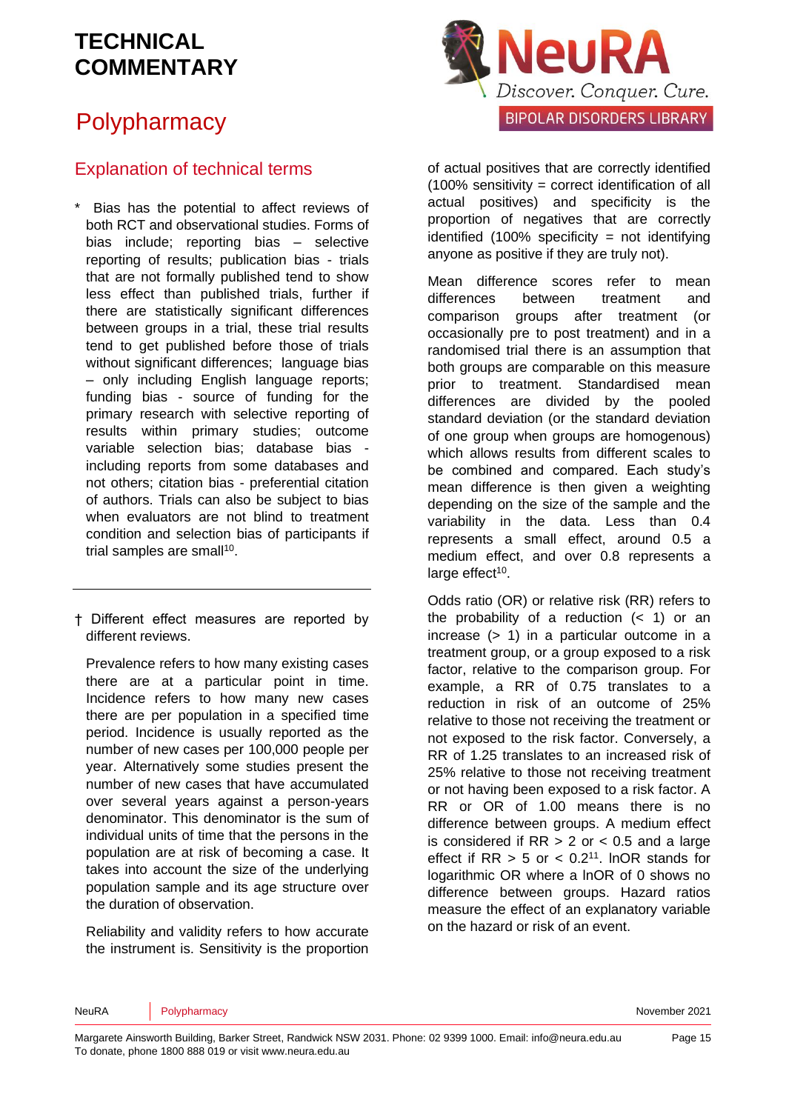## **Polypharmacy**

### Explanation of technical terms

Bias has the potential to affect reviews of both RCT and observational studies. Forms of bias include; reporting bias – selective reporting of results; publication bias - trials that are not formally published tend to show less effect than published trials, further if there are statistically significant differences between groups in a trial, these trial results tend to get published before those of trials without significant differences: language bias – only including English language reports; funding bias - source of funding for the primary research with selective reporting of results within primary studies; outcome variable selection bias; database bias including reports from some databases and not others; citation bias - preferential citation of authors. Trials can also be subject to bias when evaluators are not blind to treatment condition and selection bias of participants if trial samples are small<sup>[10](#page-16-3)</sup>.

† Different effect measures are reported by different reviews.

Prevalence refers to how many existing cases there are at a particular point in time. Incidence refers to how many new cases there are per population in a specified time period. Incidence is usually reported as the number of new cases per 100,000 people per year. Alternatively some studies present the number of new cases that have accumulated over several years against a person-years denominator. This denominator is the sum of individual units of time that the persons in the population are at risk of becoming a case. It takes into account the size of the underlying population sample and its age structure over the duration of observation.

Reliability and validity refers to how accurate the instrument is. Sensitivity is the proportion



of actual positives that are correctly identified (100% sensitivity = correct identification of all actual positives) and specificity is the proportion of negatives that are correctly identified  $(100\%$  specificity = not identifying anyone as positive if they are truly not).

Mean difference scores refer to mean differences between treatment and comparison groups after treatment (or occasionally pre to post treatment) and in a randomised trial there is an assumption that both groups are comparable on this measure prior to treatment. Standardised mean differences are divided by the pooled standard deviation (or the standard deviation of one group when groups are homogenous) which allows results from different scales to be combined and compared. Each study's mean difference is then given a weighting depending on the size of the sample and the variability in the data. Less than 0.4 represents a small effect, around 0.5 a medium effect, and over 0.8 represents a large effect<sup>[10](#page-16-3)</sup>.

Odds ratio (OR) or relative risk (RR) refers to the probability of a reduction  $( $1$ )$  or an increase (> 1) in a particular outcome in a treatment group, or a group exposed to a risk factor, relative to the comparison group. For example, a RR of 0.75 translates to a reduction in risk of an outcome of 25% relative to those not receiving the treatment or not exposed to the risk factor. Conversely, a RR of 1.25 translates to an increased risk of 25% relative to those not receiving treatment or not having been exposed to a risk factor. A RR or OR of 1.00 means there is no difference between groups. A medium effect is considered if  $RR > 2$  or  $< 0.5$  and a large effect if  $RR > 5$  or  $< 0.2<sup>11</sup>$  $< 0.2<sup>11</sup>$  $< 0.2<sup>11</sup>$ . InOR stands for logarithmic OR where a lnOR of 0 shows no difference between groups. Hazard ratios measure the effect of an explanatory variable on the hazard or risk of an event.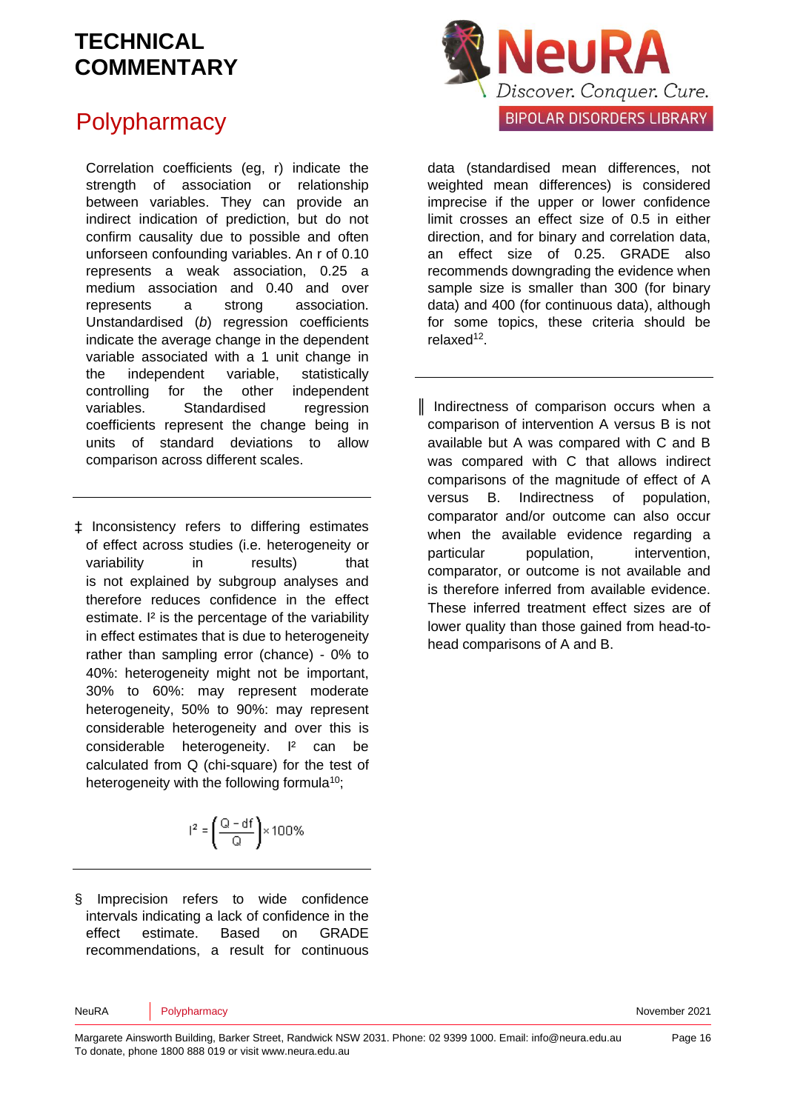## **Polypharmacy**

Correlation coefficients (eg, r) indicate the strength of association or relationship between variables. They can provide an indirect indication of prediction, but do not confirm causality due to possible and often unforseen confounding variables. An r of 0.10 represents a weak association, 0.25 a medium association and 0.40 and over represents a strong association. Unstandardised (*b*) regression coefficients indicate the average change in the dependent variable associated with a 1 unit change in the independent variable, statistically controlling for the other independent variables. Standardised regression coefficients represent the change being in units of standard deviations to allow comparison across different scales.

‡ Inconsistency refers to differing estimates of effect across studies (i.e. heterogeneity or variability in results) that is not explained by subgroup analyses and therefore reduces confidence in the effect estimate. I² is the percentage of the variability in effect estimates that is due to heterogeneity rather than sampling error (chance) - 0% to 40%: heterogeneity might not be important, 30% to 60%: may represent moderate heterogeneity, 50% to 90%: may represent considerable heterogeneity and over this is considerable heterogeneity. I² can be calculated from Q (chi-square) for the test of heterogeneity with the following formula<sup>[10](#page-16-3)</sup>;

$$
I^2 = \left(\frac{Q - df}{Q}\right) \times 100\%
$$

§ Imprecision refers to wide confidence intervals indicating a lack of confidence in the effect estimate. Based on GRADE recommendations, a result for continuous



data (standardised mean differences, not weighted mean differences) is considered imprecise if the upper or lower confidence limit crosses an effect size of 0.5 in either direction, and for binary and correlation data, an effect size of 0.25. GRADE also recommends downgrading the evidence when sample size is smaller than 300 (for binary data) and 400 (for continuous data), although for some topics, these criteria should be relaxed<sup>[12](#page-16-5)</sup>.

║ Indirectness of comparison occurs when a comparison of intervention A versus B is not available but A was compared with C and B was compared with C that allows indirect comparisons of the magnitude of effect of A versus B. Indirectness of population, comparator and/or outcome can also occur when the available evidence regarding a particular population, intervention, comparator, or outcome is not available and is therefore inferred from available evidence. These inferred treatment effect sizes are of lower quality than those gained from head-tohead comparisons of A and B.